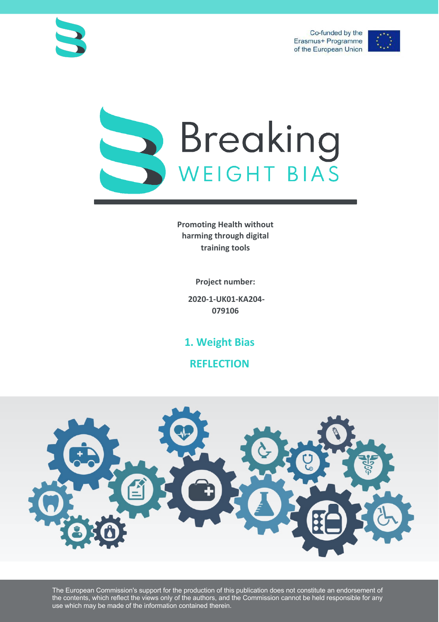Co-funded by the Erasmus+ Programme of the European Union







**Promoting Health without harming through digital training tools**

**Project number:**

**2020-1-UK01-KA204- 079106**

**1. Weight Bias**

**REFLECTION**



The European Commission's support for the production of this publication does not constitute an endorsement of the contents, which reflect the views only of the authors, and the Commission cannot be held responsible for any use which may be made of the information contained therein.